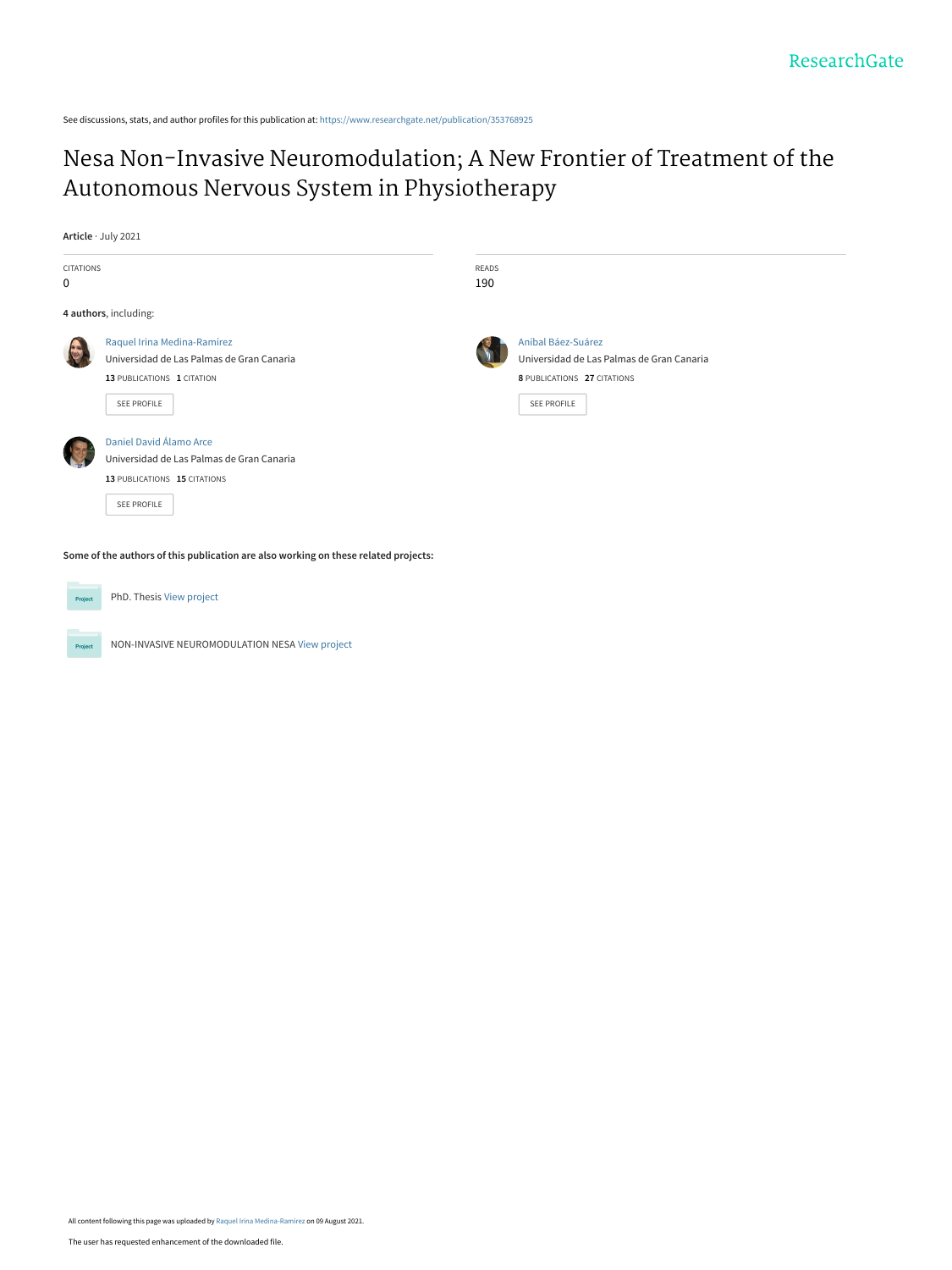See discussions, stats, and author profiles for this publication at: [https://www.researchgate.net/publication/353768925](https://www.researchgate.net/publication/353768925_Nesa_Non-Invasive_Neuromodulation_A_New_Frontier_of_Treatment_of_the_Autonomous_Nervous_System_in_Physiotherapy?enrichId=rgreq-93cd8afeaae82db8a0777982feb2e9e8-XXX&enrichSource=Y292ZXJQYWdlOzM1Mzc2ODkyNTtBUzoxMDU0ODM3MzA3MzY3NDI1QDE2Mjg1MDQyMjAzNTU%3D&el=1_x_2&_esc=publicationCoverPdf)

# [Nesa Non-Invasive Neuromodulation; A New Frontier of Treatment of the](https://www.researchgate.net/publication/353768925_Nesa_Non-Invasive_Neuromodulation_A_New_Frontier_of_Treatment_of_the_Autonomous_Nervous_System_in_Physiotherapy?enrichId=rgreq-93cd8afeaae82db8a0777982feb2e9e8-XXX&enrichSource=Y292ZXJQYWdlOzM1Mzc2ODkyNTtBUzoxMDU0ODM3MzA3MzY3NDI1QDE2Mjg1MDQyMjAzNTU%3D&el=1_x_3&_esc=publicationCoverPdf) Autonomous Nervous System in Physiotherapy

**Article** · July 2021

Proie

| <b>CITATIONS</b><br>0                                                               |                                                                                                                       | <b>READS</b><br>190 |                                                                                                               |
|-------------------------------------------------------------------------------------|-----------------------------------------------------------------------------------------------------------------------|---------------------|---------------------------------------------------------------------------------------------------------------|
| 4 authors, including:                                                               |                                                                                                                       |                     |                                                                                                               |
| E                                                                                   | Raquel Irina Medina-Ramírez<br>Universidad de Las Palmas de Gran Canaria<br>13 PUBLICATIONS 1 CITATION<br>SEE PROFILE |                     | Aníbal Báez-Suárez<br>Universidad de Las Palmas de Gran Canaria<br>8 PUBLICATIONS 27 CITATIONS<br>SEE PROFILE |
|                                                                                     | Daniel David Álamo Arce<br>Universidad de Las Palmas de Gran Canaria<br>13 PUBLICATIONS 15 CITATIONS<br>SEE PROFILE   |                     |                                                                                                               |
| Some of the authors of this publication are also working on these related projects: |                                                                                                                       |                     |                                                                                                               |
| Project                                                                             | PhD. Thesis View project                                                                                              |                     |                                                                                                               |

NON-INVASIVE NEUROMODULATION NESA [View project](https://www.researchgate.net/project/NON-INVASIVE-NEUROMODULATION-NESA?enrichId=rgreq-93cd8afeaae82db8a0777982feb2e9e8-XXX&enrichSource=Y292ZXJQYWdlOzM1Mzc2ODkyNTtBUzoxMDU0ODM3MzA3MzY3NDI1QDE2Mjg1MDQyMjAzNTU%3D&el=1_x_9&_esc=publicationCoverPdf)

All content following this page was uploaded by [Raquel Irina Medina-Ramírez](https://www.researchgate.net/profile/Raquel-Irina-Medina-Ramirez?enrichId=rgreq-93cd8afeaae82db8a0777982feb2e9e8-XXX&enrichSource=Y292ZXJQYWdlOzM1Mzc2ODkyNTtBUzoxMDU0ODM3MzA3MzY3NDI1QDE2Mjg1MDQyMjAzNTU%3D&el=1_x_10&_esc=publicationCoverPdf) on 09 August 2021.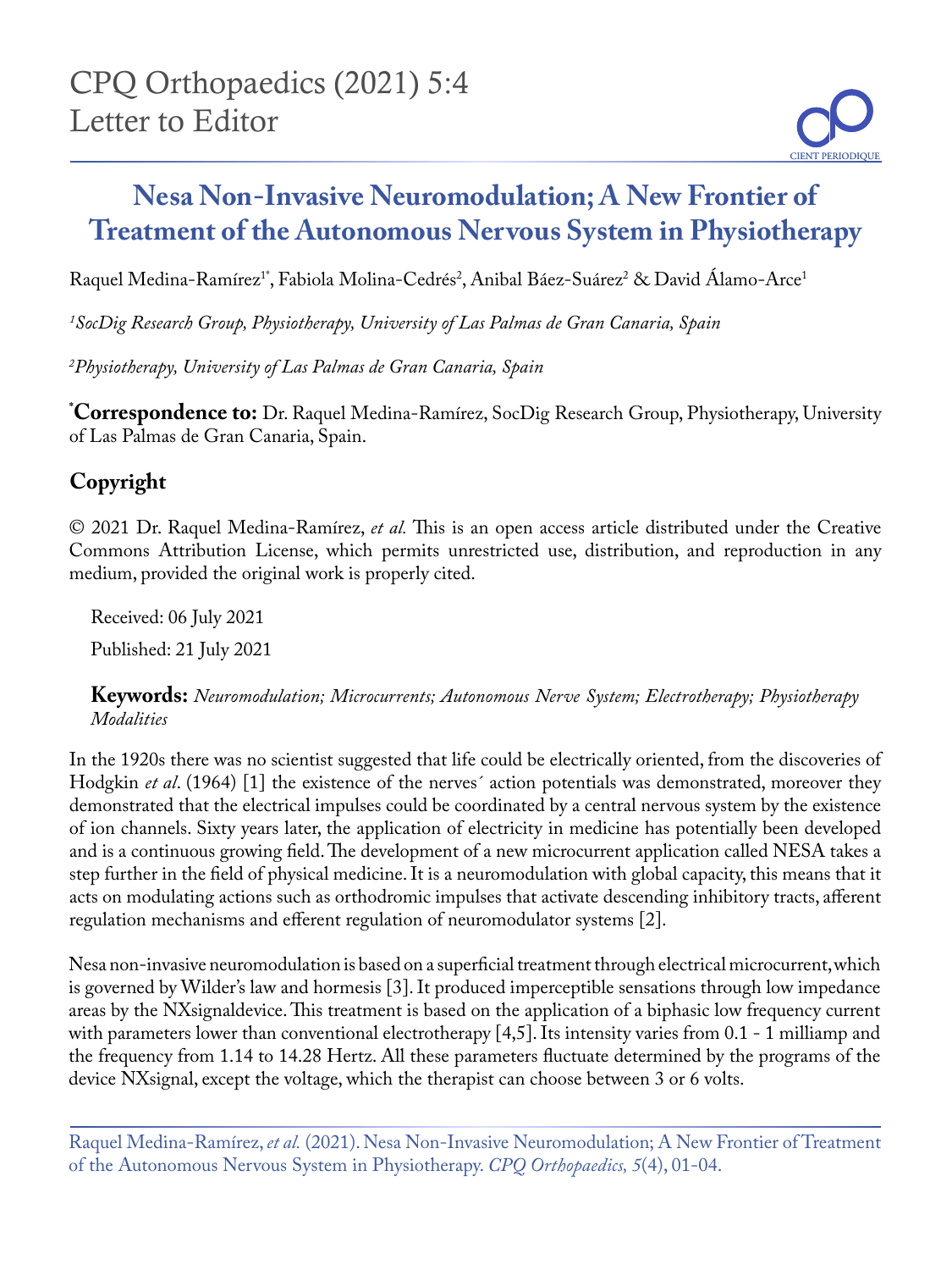# **Nesa Non-Invasive Neuromodulation; A New Frontier of Treatment of the Autonomous Nervous System in Physiotherapy**

Raquel Medina-Ramírez<sup>1</sup>\*, Fabiola Molina-Cedrés<sup>2</sup>, Anibal Báez-Suárez<sup>2</sup> & David Alamo-Arce<sup>1</sup>

*1 SocDig Research Group, Physiotherapy, University of Las Palmas de Gran Canaria, Spain*

*2 Physiotherapy, University of Las Palmas de Gran Canaria, Spain*

**\* Correspondence to:** Dr. Raquel Medina-Ramírez, SocDig Research Group, Physiotherapy, University of Las Palmas de Gran Canaria, Spain.

# **Copyright**

© 2021 Dr. Raquel Medina-Ramírez, *et al.* This is an open access article distributed under the Creative Commons Attribution License, which permits unrestricted use, distribution, and reproduction in any medium, provided the original work is properly cited.

Received: 06 July 2021 Published: 21 July 2021

**Keywords:** *Neuromodulation; Microcurrents; Autonomous Nerve System; Electrotherapy; Physiotherapy Modalities*

In the 1920s there was no scientist suggested that life could be electrically oriented, from the discoveries of Hodgkin *et al*. (1964) [1] the existence of the nerves´ action potentials was demonstrated, moreover they demonstrated that the electrical impulses could be coordinated by a central nervous system by the existence of ion channels. Sixty years later, the application of electricity in medicine has potentially been developed and is a continuous growing field. The development of a new microcurrent application called NESA takes a step further in the field of physical medicine. It is a neuromodulation with global capacity, this means that it acts on modulating actions such as orthodromic impulses that activate descending inhibitory tracts, afferent regulation mechanisms and efferent regulation of neuromodulator systems [2].

Nesa non-invasive neuromodulation is based on a superficial treatment through electrical microcurrent, which is governed by Wilder's law and hormesis [3]. It produced imperceptible sensations through low impedance areas by the NXsignaldevice. This treatment is based on the application of a biphasic low frequency current with parameters lower than conventional electrotherapy  $[4,5]$ . Its intensity varies from 0.1 - 1 milliamp and the frequency from 1.14 to 14.28 Hertz. All these parameters fluctuate determined by the programs of the device NXsignal, except the voltage, which the therapist can choose between 3 or 6 volts.

Raquel Medina-Ramírez, *et al.* (2021). Nesa Non-Invasive Neuromodulation; A New Frontier of Treatment of the Autonomous Nervous System in Physiotherapy. *CPQ Orthopaedics, 5*(4), 01-04.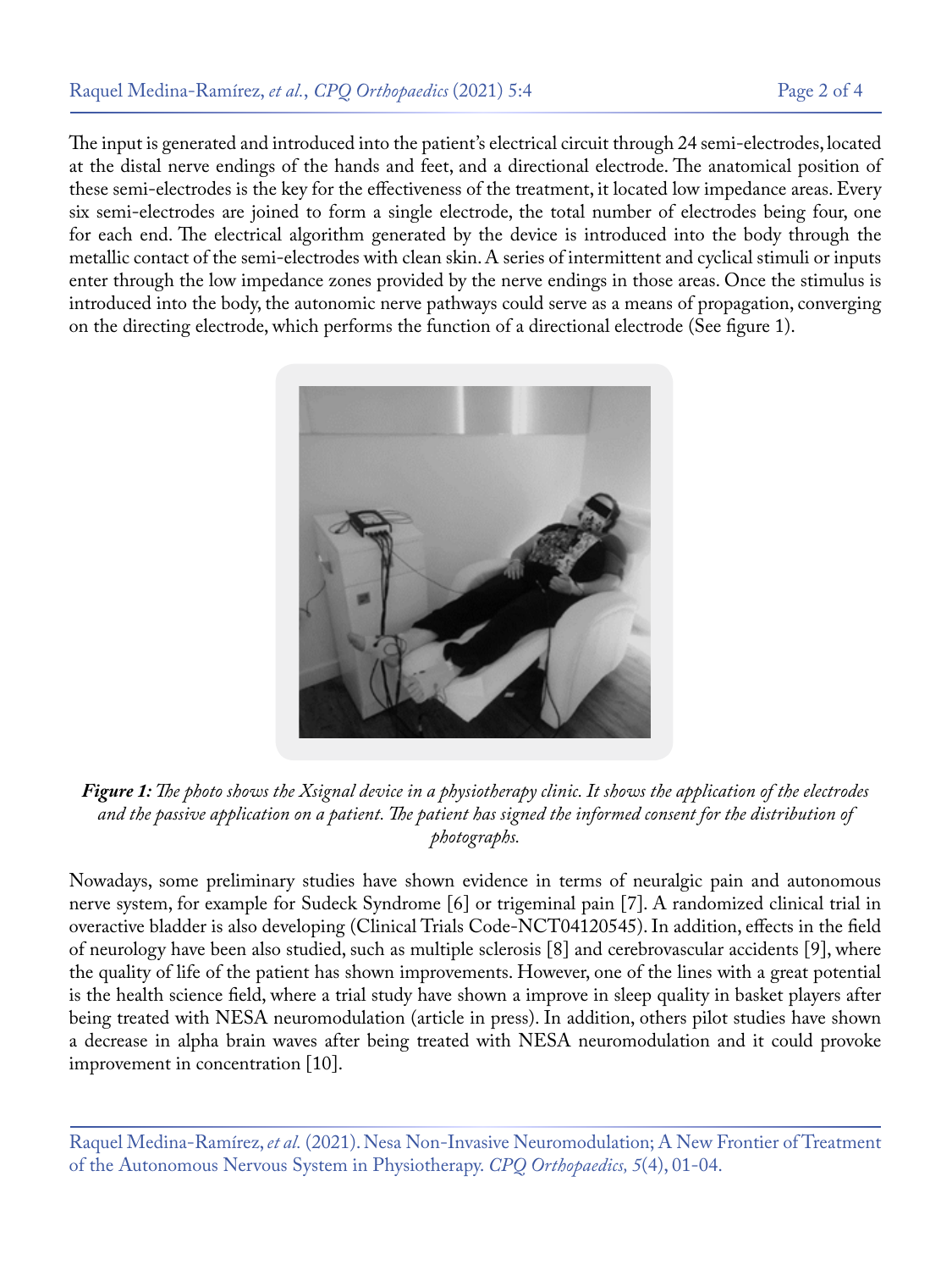The input is generated and introduced into the patient's electrical circuit through 24 semi-electrodes, located at the distal nerve endings of the hands and feet, and a directional electrode. The anatomical position of these semi-electrodes is the key for the effectiveness of the treatment, it located low impedance areas. Every six semi-electrodes are joined to form a single electrode, the total number of electrodes being four, one for each end. The electrical algorithm generated by the device is introduced into the body through the metallic contact of the semi-electrodes with clean skin. A series of intermittent and cyclical stimuli or inputs enter through the low impedance zones provided by the nerve endings in those areas. Once the stimulus is introduced into the body, the autonomic nerve pathways could serve as a means of propagation, converging on the directing electrode, which performs the function of a directional electrode (See figure 1).



*Figure 1: The photo shows the Xsignal device in a physiotherapy clinic. It shows the application of the electrodes and the passive application on a patient. The patient has signed the informed consent for the distribution of photographs.*

Nowadays, some preliminary studies have shown evidence in terms of neuralgic pain and autonomous nerve system, for example for Sudeck Syndrome [6] or trigeminal pain [7]. A randomized clinical trial in overactive bladder is also developing (Clinical Trials Code-NCT04120545). In addition, effects in the field of neurology have been also studied, such as multiple sclerosis [8] and cerebrovascular accidents [9], where the quality of life of the patient has shown improvements. However, one of the lines with a great potential is the health science field, where a trial study have shown a improve in sleep quality in basket players after being treated with NESA neuromodulation (article in press). In addition, others pilot studies have shown a decrease in alpha brain waves after being treated with NESA neuromodulation and it could provoke improvement in concentration [10].

Raquel Medina-Ramírez, *et al.* (2021). Nesa Non-Invasive Neuromodulation; A New Frontier of Treatment of the Autonomous Nervous System in Physiotherapy. *CPQ Orthopaedics, 5*(4), 01-04.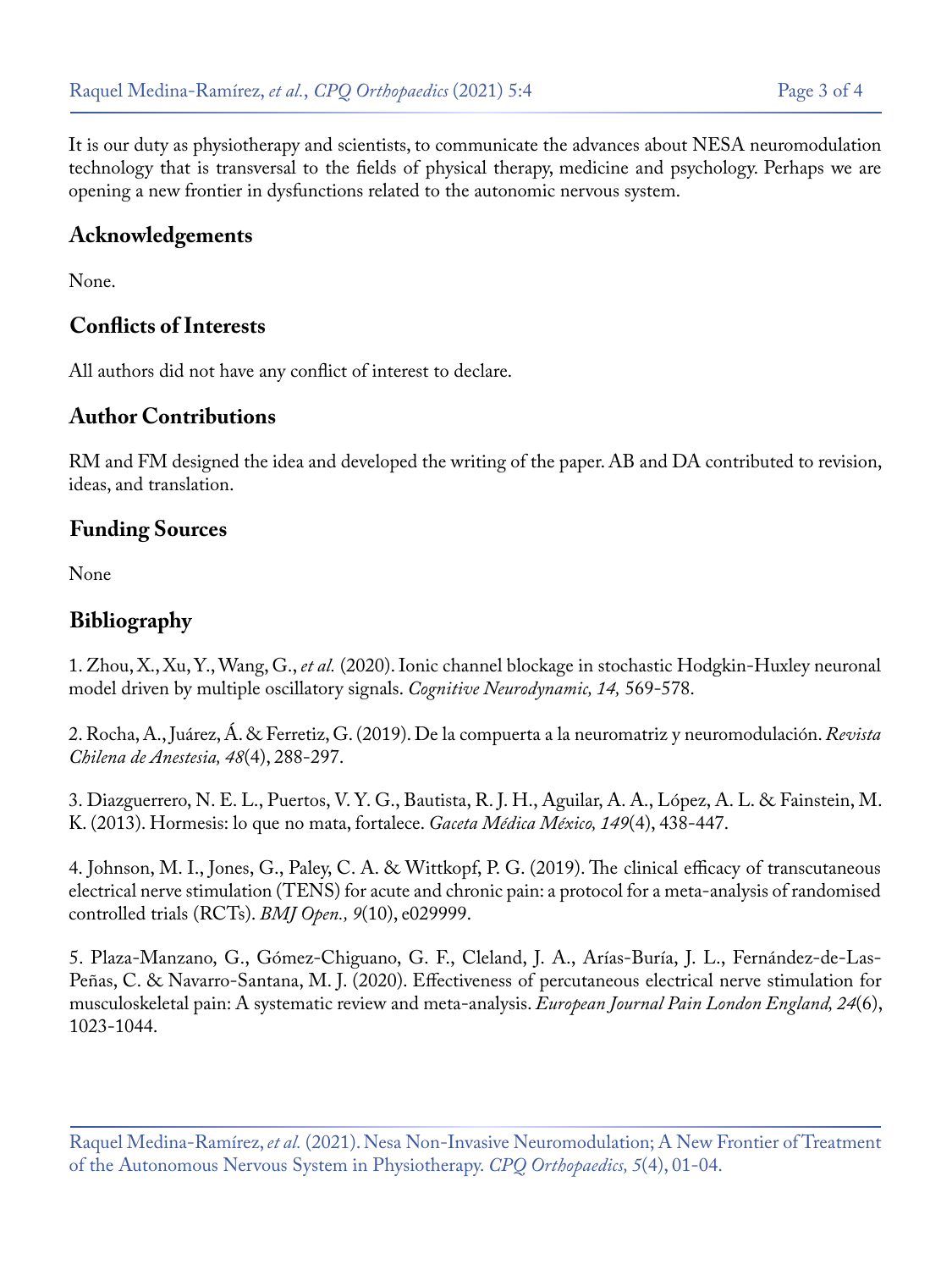It is our duty as physiotherapy and scientists, to communicate the advances about NESA neuromodulation technology that is transversal to the fields of physical therapy, medicine and psychology. Perhaps we are opening a new frontier in dysfunctions related to the autonomic nervous system.

#### **Acknowledgements**

None.

## **Conflicts of Interests**

All authors did not have any conflict of interest to declare.

#### **Author Contributions**

RM and FM designed the idea and developed the writing of the paper. AB and DA contributed to revision, ideas, and translation.

### **Funding Sources**

None

### **Bibliography**

1. Zhou, X., Xu, Y., Wang, G., *et al.* [\(2020\). Ionic channel blockage in stochastic Hodgkin-Huxley neuronal](https://www.semanticscholar.org/paper/Ionic-channel-blockage-in-stochastic-Hodgkin%25E2%2580%2593Huxley-Zhou-Xu/2ce83309728018b4cb5d2f702bb0ece9748fa3a7) [model driven by multiple oscillatory signals.](https://www.semanticscholar.org/paper/Ionic-channel-blockage-in-stochastic-Hodgkin%25E2%2580%2593Huxley-Zhou-Xu/2ce83309728018b4cb5d2f702bb0ece9748fa3a7) *Cognitive Neurodynamic, 14,* 569-578.

2. [Rocha, A., Juárez, Á. & Ferretiz, G. \(2019\). De la compuerta a la neuromatriz y neuromodulación.](https://revistachilenadeanestesia.cl/de-la-compuerta-a-la-neuromatriz-y-neuromodulacion/) *Revista [Chilena de Anestesia, 48](https://revistachilenadeanestesia.cl/de-la-compuerta-a-la-neuromatriz-y-neuromodulacion/)*(4), 288-297.

3. [Diazguerrero, N. E. L., Puertos, V. Y. G., Bautista, R. J. H., Aguilar, A. A., López, A. L. & Fainstein, M.](https://www.anmm.org.mx/GMM/2013/n4/GMM_149_2013_4_438-447.pdf) [K. \(2013\). Hormesis: lo que no mata, fortalece.](https://www.anmm.org.mx/GMM/2013/n4/GMM_149_2013_4_438-447.pdf) *Gaceta Médica México, 149*(4), 438-447.

4. [Johnson, M. I., Jones, G., Paley, C. A. & Wittkopf, P. G. \(2019\). The clinical efficacy of transcutaneous](https://www.ncbi.nlm.nih.gov/pmc/articles/PMC6830670/) [electrical nerve stimulation \(TENS\) for acute and chronic pain: a protocol for a meta-analysis of randomised](https://www.ncbi.nlm.nih.gov/pmc/articles/PMC6830670/) [controlled trials \(RCTs\).](https://www.ncbi.nlm.nih.gov/pmc/articles/PMC6830670/) *BMJ Open., 9*(10), e029999.

5. [Plaza-Manzano, G., Gómez-Chiguano, G. F., Cleland, J. A., Arías-Buría, J. L., Fernández-de-Las-](https://europepmc.org/article/med/32171035)[Peñas, C. & Navarro-Santana, M. J. \(2020\). Effectiveness of percutaneous electrical nerve stimulation for](https://europepmc.org/article/med/32171035)  [musculoskeletal pain: A systematic review and meta-analysis.](https://europepmc.org/article/med/32171035) *European Journal Pain London England, 24*(6), [1023-1044.](https://europepmc.org/article/med/32171035)

Raquel Medina-Ramírez, *et al.* (2021). Nesa Non-Invasive Neuromodulation; A New Frontier of Treatment of the Autonomous Nervous System in Physiotherapy. *CPQ Orthopaedics, 5*(4), 01-04.